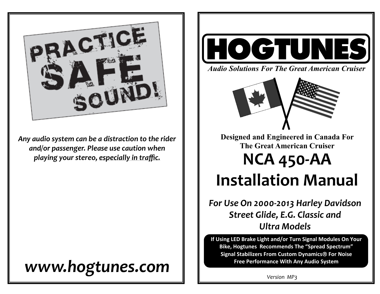

*Any audio system can be a distraction to the rider and/or passenger. Please use caution when playing your stereo, especially in traffic.* 

## *www.hogtunes.com*



*Audio Solutions For The Great American Cruiser*



**Designed and Engineered in Canada For The Great American Cruiser** 

# **NCA 450-AA Installation Manual**

*For Use On 2000-2013 Harley Davidson Street Glide, E.G. Classic and Ultra Models*

**If Using LED Brake Light and/or Turn Signal Modules On Your Bike, Hogtunes Recommends The "Spread Spectrum" Signal Stabilizers From Custom Dynamics For Noise Free Performance With Any Audio System**

*Version MP3*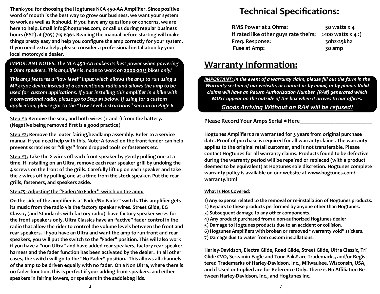**Thank-you for choosing the Hogtunes NCA 450-AA Amplifier. Since positive word of mouth is the best way to grow our business, we want your system to work as well as it should. If you have any questions or concerns, we are here to help. Email info@hogtunes.com, or call us during regular business hours (EST) at (705) 719-6361. Reading the manual before starting will make things pretty easy and help you configure the amp correctly for your system. If you need extra help, please consider a professional installation by your local motorcycle dealer.** 

 *IMPORTANT NOTES: The NCA 450-AA makes its best power when powering 2 Ohm speakers. This amplifier is made to work on 2000-2013 bikes only!* 

*This amp features a "low level" input which allows the amp to run using a MP3 type device instead of a conventional radio and allows the amp to be used for custom applications. If your installing this amplifier in a bike with a conventional radio, please go to Step #1 below. If using for a custom application, please got to the "Low Level Instructions" section on Page 6*

**Step #1: Remove the seat, and both wires (+ and -) from the battery. (Negative being removed first is a good practice)**

**Step #2: Remove the outer fairing/headlamp assembly. Refer to a service manual if you need help with this. Note: A towel on the front fender can help prevent scratches or "dings" from dropped tools or fasteners etc.** 

**Step #3: Take the 2 wires off each front speaker by gently pulling one at a time. If Installing on an Ultra, remove each rear speaker grill by undoing the 4 screws on the front of the grills. Carefully lift up on each speaker and take the 2 wires off by pulling one at a time from the stock speaker. Put the rear grills, fasteners, and speakers aside.**

### **Step#5- Adjusting the "Fader/No Fader" switch on the amp:**

**On the side of the amplifier is a "Fader/No Fader" switch. This amplifier gets its music from the radio via the factory speaker wires. Street Glide, EG Classic, (and Standards with factory radio) have factory speaker wires for the front speakers only. Ultra Classics have an "active" fader control in the radio that allow the rider to control the volume levels between the front and rear speakers. If you have an Ultra and want the amp to run front and rear speakers, you will put the switch to the "Fader" position. This will also work if you have a "non-Ultra" and have added rear speakers, factory rear speaker harness and the fader function has been activated by the dealer. In all other cases, the switch will go to the "No Fader" position. This allows all channels of the amp to be driven equally with no fader. On a Non Ultra, where there is no fader function, this is perfect if your adding front speakers, and either speakers in fairing lowers, or speakers in the saddlebag lids.**

## **Technical Specifications:**

| <b>RMS Power at 2 Ohms:</b>           | 50 watts $x$ 4      |
|---------------------------------------|---------------------|
| If rated like other guys rate theirs: | $>100$ watts x 4 :) |
| Freq. Response:                       | 30hz-25khz          |
| Fuse at Amp:                          | 30 amp              |

## **Warranty Information:**

**IMPORTANT:** In the event of a warranty claim, please fill out the form in the *Warranty section of our website, or contact us by email, or by phone. Valid claims will have an Return Authorization Number (RA#) generated which MUST appear on the outside of the box when it arrives to our offices.* 

## *Goods Arriving Without an RA# will be refused!*

Please Record Your Amps Serial # Here

**Hogtunes Amplifiers are warranted for 3 years from original purchase date. Proof of purchase is required for all warranty claims. The warranty applies to the original retail customer, and is not transferable. Please contact Hogtunes for all warranty claims. Products found to be defective during the warranty period will be repaired or replaced (with a product deemed to be equivalent) at Hogtunes sole discretion. Hogtunes complete warranty policy is available on our website at www.hogtunes.com/ warranty.html**

### **What Is Not Covered:**

- **1) Any expense related to the removal or re-installation of Hogtunes products.**
- **2) Repairs to these products performed by anyone other than Hogtunes.**
- **3) Subsequent damage to any other components.**
- **4) Any product purchased from a non-authorized Hogtunes dealer.**
- **5) Damage to Hogtunes products due to an accident or collision.**
- **6) Hogtunes Amplifiers with broken or removed "warranty void" stickers.**
- **7) Damage due to water from custom installations.**

**Harley-Davidson, Electra Glide, Road Glide, Street Glide, Ultra Classic, Tri Glide CVO, Screamin Eagle and Tour-Pak® are Trademarks, and/or Registered Trademarks of Harley-Davidson, Inc., Milwaukee, Wisconsin, USA, and if Used or Implied are for Reference Only. There is No Affiliation Between Harley-Davidson, Inc., and Hogtunes Inc.**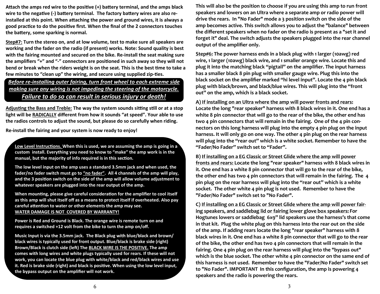**Attach the amps red wire to the positive (+) battery terminal, and the amps black wire to the negative (-) battery terminal. The factory battery wires are also reinstalled at this point. When attaching the power and ground wires, it is always a good practice to do the positive first. When the final of the 2 connectors touches the battery, some sparking is normal.** 

**Step#7: Turn the stereo on, and at low volume, test to make sure all speakers are working and the fader on the radio (if present) works. Note: Sound quality is best with the fairing mounted and secured on the bike. Re-install the seat making sure the amplifiers "+" and "-" connectors are positioned in such away so they will not bend or break when the riders weight is on the seat. This is the best time to take a few minutes to "clean up" the wiring, and secure using supplied zip-ties.** 

## *Before re-installing outer fairing, turn front wheel to each extreme side making sure any wiring is not impeding the steering of the motorcycle. Failure to do so can result in serious injury or death!*

**Adjusting the Bass and Treble: The way the system sounds sitting still or at a stop light will be RADICALLY different from how it sounds "at speed". Your able to use the radios controls to adjust the sound, but please do so carefully when riding.**

**Re-install the fairing and your system is now ready to enjoy!**

**Low Level Instructions. When this is used, we are assuming the amp is going in a custom install. Everything you need to know to "make" the amp work is in the manual, but the majority of info required is in this section.** 

**The low level input on the amp uses a standard 3.5mm jack and when used, the fader/no fader switch must go to "no fader". All 4 channels of the amp will play, and the 3 position switch on the side of the amp will allow volume adjustment to whatever speakers are plugged into the rear output of the amp.**

**When mounting, please give careful consideration for the amplifier to cool itself as this amp will shut itself off as a means to protect itself if overheated. Also pay careful attention to water or other elements the amp may see. WATER DAMAGE IS NOT COVERED BY WARRANTY!** 

**Power is Red and Ground is Black. The orange wire is remote turn on and requires a switched +12 volt from the bike to turn the amp on/off.**

**Music Input is via the 3.5mm jack. The Black plug with blue/black and brown/ black wires is typically used for front output. Blue/black is brake side (right) Brown/Black is clutch side (left) The BLACK WIRE IS THE POSITIVE. The amp comes with long wires and white plugs typically used for rears. If these will not work, you can locate the blue plug with white/black and red/black wires and use it. Red is brake side (right) and black is positive. When using the low level input, the bypass output on the amplifier will not work.**

**This will also be the position to choose if you are using this amp to run front speakers and lowers on an Ultra where a separate amp or radio power will drive the rears. In "No Fader" mode a 3 position switch on the side of the amp becomes active. This switch allows you to adjust the "balance" between the different speakers when no fader on the radio is present as a "set it and forget it" deal. The switch adjusts the speakers plugged into the rear channel output of the amplifier only.**

**Step#6: The power harness ends in a black plug with 1 larger (10awg) red wire, 1 larger (10awg) black wire, and 1 smaller orange wire. Locate this and plug it into the matching black "pigtail" on the amplifier. The input harness has a smaller black 8 pin plug with smaller gauge wire. Plug this into the black socket on the amplifier marked "hi level input". Locate the 4 pin black plug with black/brown, and black/blue wires. This will plug into the "front out" on the amp, which is a black socket.**

**A) If installing on an Ultra where the amp will power fronts and rears: Locate the long "rear speaker" harness with 8 black wires in it. One end has a white 8 pin connector that will go to the rear of the bike, the other end has two 4 pin connectors that will remain in the fairing. One of the 4 pin connectors on this long harness will plug into the empty 4 pin plug on the input harness. It will only go on one way. The other 4 pin plug on the rear harness will plug into the "rear out" which is a white socket. Remember to have the "Fader/No Fader" switch set to "Fader".**

**B) If installing on a EG Classic or Street Glide where the amp will power fronts and rears: Locate the long "rear speaker" harness with 8 black wires in it. One end has a white 8 pin connector that will go to the rear of the bike, the other end has two 4 pin connectors that will remain in the fairing. The 4 pin plug on the rear harness will plug into the "rear out" which is a white socket. The other white 4 pin plug is not used. Remember to have the "Fader/No Fader" switch set to "No Fader".**

**C) If installing on a EG Classic or Street Glide where the amp will power fairing speakers, and saddlebag lid or fairing lower glove box speakers: For Hogtunes lowers or saddlebag 6x9" lid speakers use the harness's that come in that kit. Plug the white plug on this harness into the rear out on the side of the amp. If adding rears locate the long "rear speaker" harness with 8 black wires in it. One end has a white 8 pin connector that will go to the rear of the bike, the other end has two 4 pin connectors that will remain in the fairing. One 4 pin plug on the rear harness will plug into the "bypass out" which is the blue socket. The other white 4 pin connector on the same end of this harness is not used. Remember to have the "Fader/No Fader" switch set to "No Fader". IMPORTANT In this configuration, the amp is powering 4 speakers and the radio is powering the rears.**